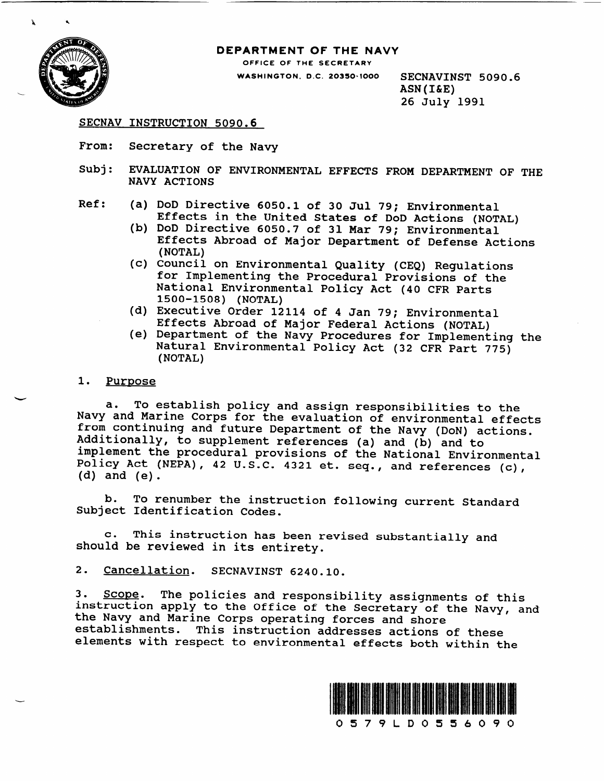

.

#### DEPARTMENT OF THE NAVY

OFFICE OF THE SECRETARY

**WASHINGTON, D.C. 20350-1000 SECNAVINST 5090.6** ASN(I&E) 26 **July** 1991

SECNAV INSTRUCTION 5090.6

- From: Secretary of the Navy
- Subj: EVALUATION OF ENVIRONMENTAL EFFECTS FROM DEPARTMENT OF THE NAVY ACTIONS
- Ref: (a) DoD Directive 6050.1 of 30 Jul 79; Environmental Effects in the United States of DoD Actions (NOTAL)
	- (b) DoD Directive 6050.7 of 31 Mar 79; Environmental Effects Abroad of Major Department of Defense Actions (NOTAL)
	- (c) Council on Environmental Quality (CEQ) Regulations for Implementing the Procedural Provisions of the National Environmental Policy Act (40 CFR Parts 1500-1508) (NOTAL)
	- (d) Executive Order 12114 of 4 Jan 79; Environmental Effects Abroad of Major Federal Actions (NOTAL)
	- (e) Department of the Navy Procedures for Implementing the Natural Environmental Policy Act (32 CFR Part 775) (NOTAL)

#### 1. Purpose

a. To establish policy and assign responsibilities to the Navy and Marine Corps for the evaluation of environmental effects from continuing and future Department of the Navy (DoN) actions. Additionally, to supplement references (a) and (b) and to implement the procedural provisions of the National Environmental Policy Act (NEPA), 42 U.S.C. 4321 et. seq., and references (c), (d) and (e).

b. To renumber the instruction following current Standard Subject Identification Codes.

c. This instruction has been revised substantially and should be reviewed in its entirety.

2. Cancellation. SECNAVINST 6240.10.

3. Scope. The policies and responsibility assignments of this instruction apply to the Office of the Secretary of the Navy, and the Navy and Marine Corps operating forces and shore establishments. This instruction addresses actions of these elements with respect to environmental effects both within the

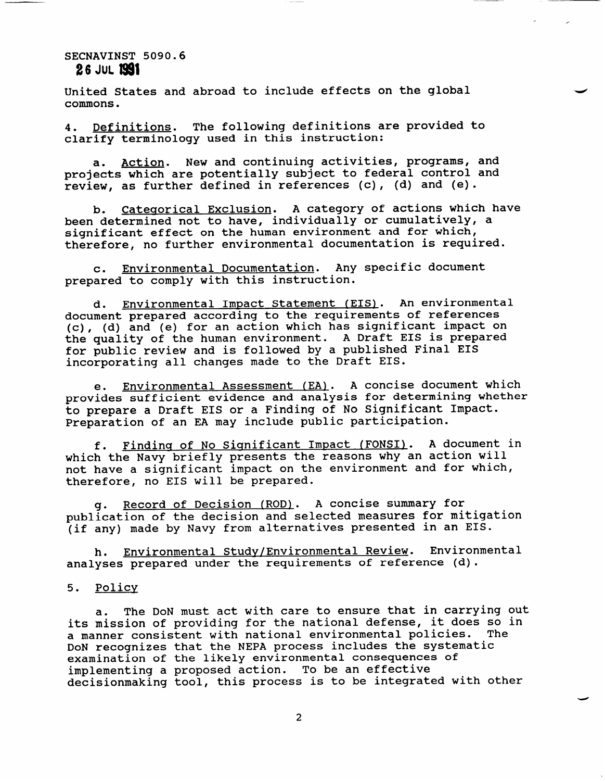United States and abroad to include effects on the global commons.

4. Definitions. The following definitions are provided to clarify terminology used in this instruction:

a. Action. New and continuing activities, programs, and projects which are potentially subject to federal control and review, as further defined in references (c), (d) and (e).

b. Categorical Exclusion. A category of actions which have been determined not to have, individually or cumulatively, a significant effect on the human environment and for which, therefore, no further environmental documentation is required.

c. Environmental Documentation. Any specific document prepared to comply with this instruction.

d. Environmental Impact Statement (EIS). An environmental document prepared according to the requirements of references **(c), (d)** and (e) for an action which has significant impact on the quality of the human environment. A Draft EIS is prepared for public review and is followed by a published Final EIS incorporating all changes made to the Draft EIS.

e. Environmental Assessment (EA). A concise document which provides sufficient evidence and analysis for determining whether to prepare a Draft EIS or a Finding of No Significant Impact. Preparation of an EA may include public participation.

f. Finding of No Significant Impact (FONSI). A document in which the Navy briefly presents the reasons why an action will not have a significant impact on the environment and for which, therefore, no EIS will be prepared.

g. Record of Decision (ROD). A concise summary for publication of the decision and selected measures for mitigation (if any) made by Navy from alternatives presented in an EIS.

h. Environmental Study/Environmental Review. Environmental analyses prepared under the requirements of reference (d).

### 5. Policv

a. The DoN must act with care to ensure that in carrying out its mission of providing for the national defense, it does so in a manner consistent with national environmental policies. The DoN recognizes that the NEPA process includes the systematic examination of the likely environmental consequences of implementing a proposed action. To be an effective decisionmaking tool, this process is to be integrated with other

d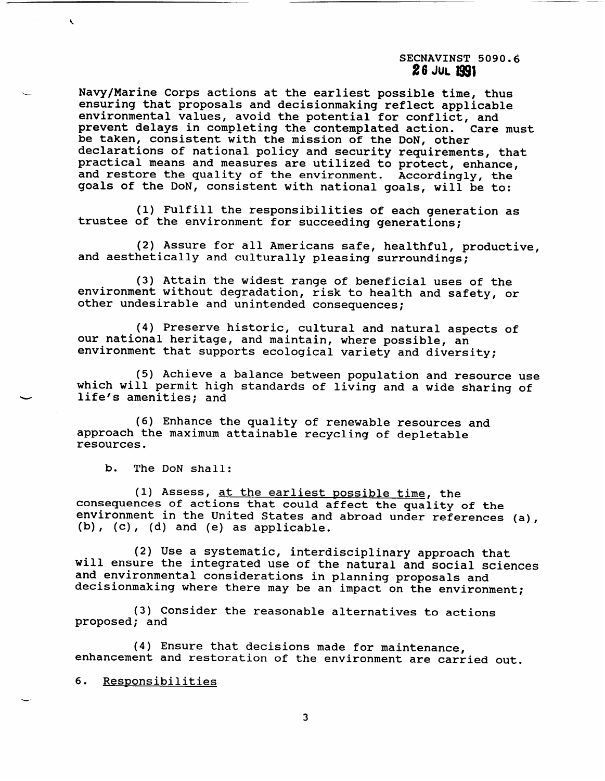Navy/Marine Corps actions at the earliest possible time, thus ensuring that proposals and decisionmaking reflect applicable environmental values, avoid the potential for conflict, and prevent delays in completing the contemplated action. Care must be taken, consistent with the mission of the DoN, other declarations of national policy and security requirements, that practical means and measures are utilized to protect, enhance, and restore the quality of the environment. Accordingly, the goals of the DoN, consistent with national goals, will be to:

(1) Fulfill the responsibilities of each generation as trustee of the environment for succeeding generations;

(2) Assure for all Americans safe, healthful, productive, and aesthetically and culturally pleasing surroundings;

(3) Attain the widest range of beneficial uses of the environment without degradation, risk to health and safety, or other undesirable and unintended consequences;

(4) Preserve historic, cultural and natural aspects of our national heritage, and maintain, where possible, an environment that supports ecological variety and diversity;

(5) Achieve a balance between population and resource use which will permit high standards of living and a wide sharing of life's amenities; and

(6) Enhance the quality of renewable resources and approach the maximum attainable recycling of depletable resources.

b. The DoN shall:

 $\lambda$ 

(1) Assess, <u>at the earliest possible time</u>, the consequences of actions that could affect the quality of the environment in the United States and abroad under references (a), (b), (c), (d) and (e) as applicable.

(2) Use a systematic, interdisciplinary approach that will ensure the integrated use of the natural and social sciences and environmental considerations in planning proposals and decisionmaking where there may be an impact on the environment;

(3) Consider the reasonable alternatives to actions proposed; and

(4) Ensure that decisions made for maintenance, enhancement and restoration of the environment are carried out.

6. Responsibilities

-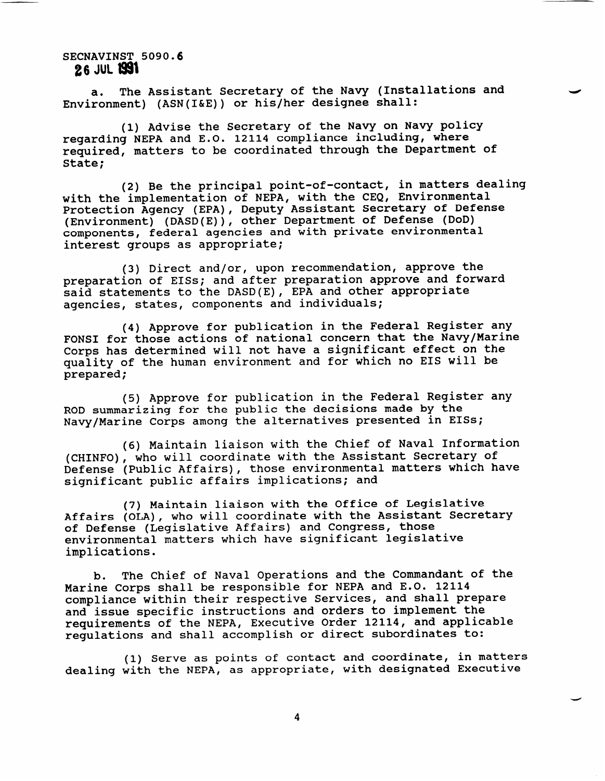a. The Assistant Secretary of the Navy (Installations and Environment) (ASN(I&E)) or his/her designee shall:

(1) Advise the Secretary of the Navy on Navy policy regarding NEPA and E.O. 12114 compliance including, where required, matters to be coordinated through the Department of State;

(2) Be the principal point-of-contact, in matters dealing with the implementation of NEPA, with the CEQ, Environmental Protection Agency (EPA), Deputy Assistant Secretary of Defense (Environment) (DASD(E)), other Department of Defense (DoD) components, federal agencies and with private environmental interest groups as appropriate;

(3) Direct and/or, upon recommendation, approve the preparation of EISS; and after preparation approve and forward said statements to the DASD(E) , EPA and other appropriate agencies, states, components and individuals;

(4) Approve for publication in the Federal Register any FONSI for those actions of national concern that the Navy/Marine Corps has determined will not have a significant effect on the quality of the human environment and for which no EIS will be prepared;

(5) Approve for publication in the Federal Register any ROD summarizing for the public the decisions made by the Navy/Marine Corps among the alternatives presented in EISS;

(6) Maintain liaison with the Chief of Naval Information (CHINFO), who will coordinate with the Assistant Secretary of Defense (Public Affairs), those environmental matters which have significant public affairs implications; and

(7) Maintain liaison with the Office of Legislative Affairs (OLA), who will coordinate with the Assistant Secretary of Defense (Legislative Affairs) and Congress, those environmental matters which have significant legislative implications.

b. The Chief of Naval Operations and the Commandant of the Marine Corps shall be responsible for NEPA and E.O. 12114 compliance within their respective Services, and shall prepare and issue specific instructions and orders to implement the requirements of the NEPA, Executive Order 12114, and applicable regulations and shall accomplish or direct subordinates to:

(1) Serve as points of contact and coordinate, in matters dealing with the NEPA, as appropriate, with designated Executive

4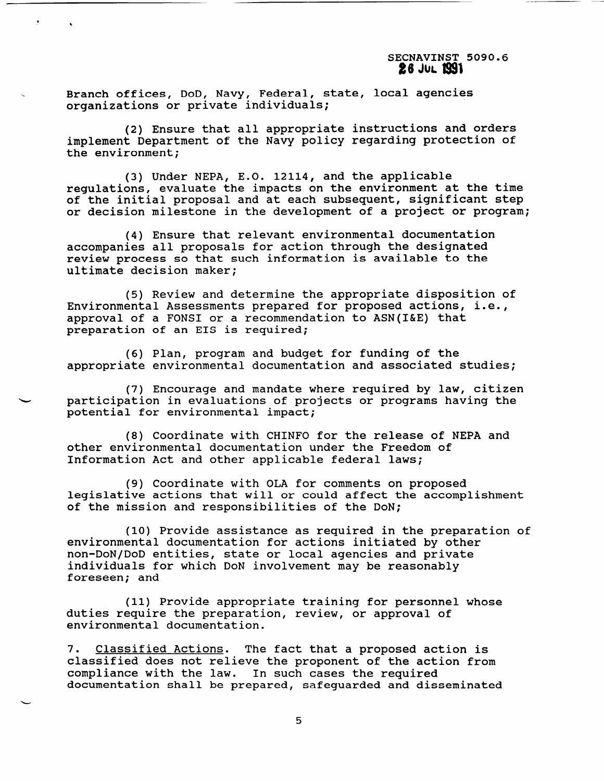Branch offices, DoD, Navy, Federal, state, local agencies organizations or private individuals;

(2) Ensure that all appropriate instructions and orders implement Department of the Navy policy regarding protection of the environment;

(3) Under NEPA, E.O. 12114, and the applicable regulations, evaluate the impacts on the environment at the time of the initial proposal and at each subsequent, significant step or decision milestone in the development of a project or program;

(4) Ensure that relevant environmental documentation accompanies all proposals for action through the designated review process so that such information is available to the ultimate decision maker;

(5) Review and determine the appropriate disposition of Environmental Assessments prepared for proposed actions, i.e., approval of a FONSI or a recommendation to ASN(I&E) that preparation of an EIS is required;

(6) Plan, program and budget for funding of the appropriate environmental documentation and associated studies;

(7) Encourage and mandate where required by law, citizen participation in evaluations of projects or programs having the potential for environmental impact;

(8) Coordinate with CHINFO for the release of NEPA and other environmental documentation under the Freedom of Information Act and other applicable federal laws;

(9) Coordinate with OLA for comments on proposed legislative actions that will or could affect the accomplishment of the mission and responsibilities of the DoN;

(10) Provide assistance as required in the preparation of environmental documentation for actions initiated by other non-DoN/DoD entities, state or local agencies and private individuals for which DoN involvement may be reasonably foreseen; and

(11) Provide appropriate training for personnel whose duties require the preparation, review, or approval of environmental documentation.

7. Classified Actions. The fact that a proposed action is classified does not relieve the proponent of the action from compliance with the law. In such cases the required documentation shall be prepared, safeguarded and disseminated

5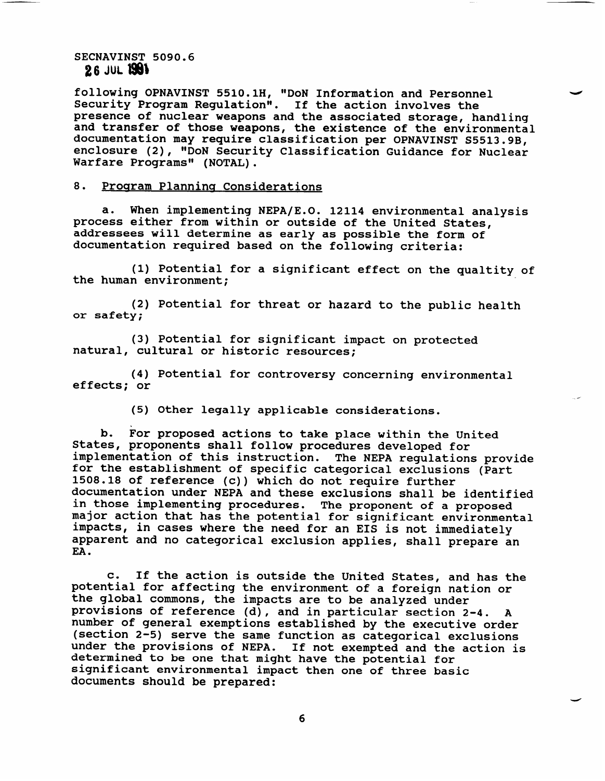following OPNAVINST 5510.1H, "DoN Information and Personnel Security Program Regulation". If the action involves the presence of nuclear weapons and the **associated** storage, handling and transfer of those weapons, the existence of the environmental documentation may require classification per OPNAVINST S5513.9B, enclosure (2), "DoN Security Classification Guidance for Nuclear Warfare Programs" (NOTAL).

### 8. Program Planning Considerations

**a.** When implementing NEPA/E.O. 12114 environmental analysis process either from within or outside of the United States, addressees will determine as early as possible the form of documentation required based on the following criteria:

(1) Potential for a significant effect on the qualtity of the human environment;

(2) Potential for threat or hazard to the public health or safety;

(3) Potential for significant impact on protected natural, cultural or historic resources;

(4) Potential for controversy concerning environmental effects; or

(5) Other legally applicable considerations.

b. For proposed actions to take place within the United States, proponents shall follow procedures developed for implementation of this instruction. The NEPA regulations provide for the establishment of specific categorical exclusions (Part 1508.18 of reference (c)) which do not require further documentation under NEPA and these exclusions shall be identified in those implementing procedures. The proponent of a proposed major action that has the potential for significant environmental impacts, in cases where the need for an EIS is not immediately apparent and no categorical exclusion applies, shall prepare an EA.

c. If the action is outside the United States, and has the potential for affecting the environment of a foreign nation or the global commons, the impacts are to be analyzed under provisions of reference (d), and in particular section 2-4. A number of general exemptions established by the executive order (section 2-5) serve the same function as categorical exclusions under the provisions of NEPA. If not exempted and the action is determined to be one that might have the potential for significant environmental impact then one of three basic documents should be prepared:

4